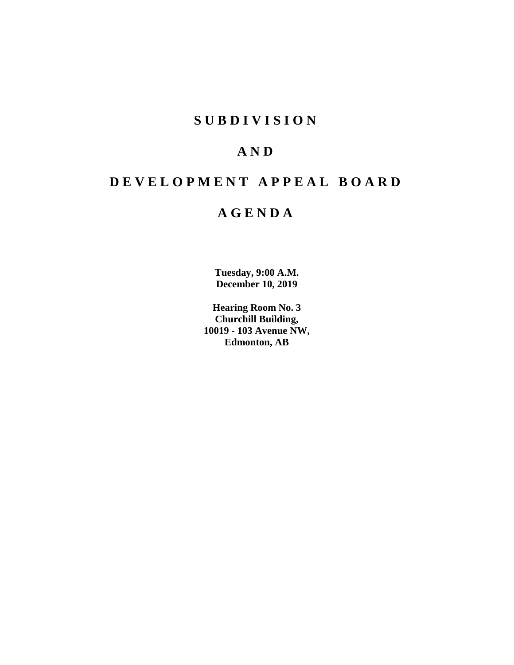## **S U B D I V I S I O N**

## **A N D**

# **D E V E L O P M E N T A P P E A L B O A R D**

## **A G E N D A**

**Tuesday, 9:00 A.M. December 10, 2019**

**Hearing Room No. 3 Churchill Building, 10019 - 103 Avenue NW, Edmonton, AB**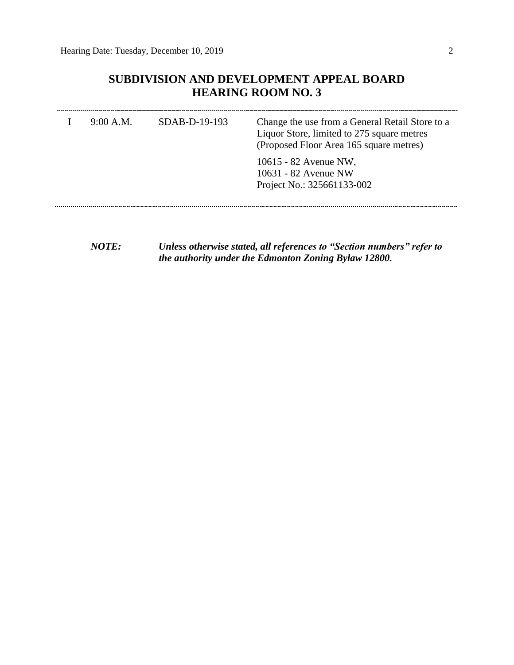## **SUBDIVISION AND DEVELOPMENT APPEAL BOARD HEARING ROOM NO. 3**

| 9:00 A.M. | $SDAB-D-19-193$ | Change the use from a General Retail Store to a<br>Liquor Store, limited to 275 square metres<br>(Proposed Floor Area 165 square metres) |  |
|-----------|-----------------|------------------------------------------------------------------------------------------------------------------------------------------|--|
|           |                 | 10615 - 82 Avenue NW,<br>10631 - 82 Avenue NW<br>Project No.: 325661133-002                                                              |  |
|           |                 |                                                                                                                                          |  |

*NOTE: Unless otherwise stated, all references to "Section numbers" refer to the authority under the Edmonton Zoning Bylaw 12800.*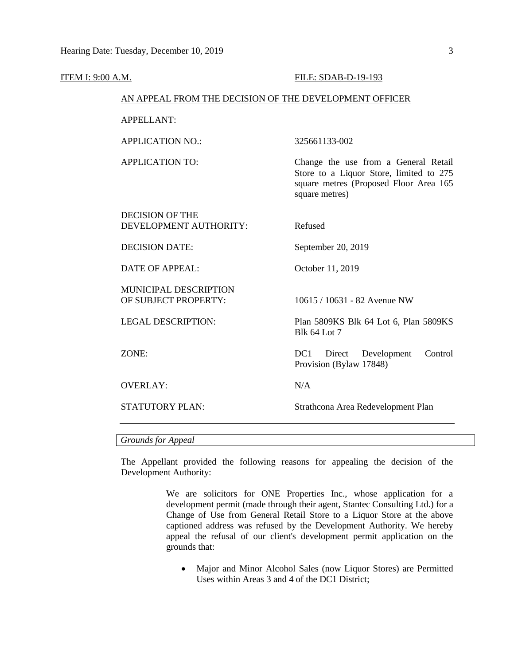| <b>ITEM I: 9:00 A.M.</b> |                                                        | FILE: SDAB-D-19-193                                                                                                                         |  |  |  |  |
|--------------------------|--------------------------------------------------------|---------------------------------------------------------------------------------------------------------------------------------------------|--|--|--|--|
|                          | AN APPEAL FROM THE DECISION OF THE DEVELOPMENT OFFICER |                                                                                                                                             |  |  |  |  |
|                          | <b>APPELLANT:</b>                                      |                                                                                                                                             |  |  |  |  |
|                          | <b>APPLICATION NO.:</b>                                | 325661133-002                                                                                                                               |  |  |  |  |
|                          | <b>APPLICATION TO:</b>                                 | Change the use from a General Retail<br>Store to a Liquor Store, limited to 275<br>square metres (Proposed Floor Area 165<br>square metres) |  |  |  |  |
|                          | <b>DECISION OF THE</b><br>DEVELOPMENT AUTHORITY:       | Refused                                                                                                                                     |  |  |  |  |
|                          | <b>DECISION DATE:</b>                                  | September 20, 2019                                                                                                                          |  |  |  |  |
|                          | <b>DATE OF APPEAL:</b>                                 | October 11, 2019                                                                                                                            |  |  |  |  |
|                          | MUNICIPAL DESCRIPTION<br>OF SUBJECT PROPERTY:          | 10615 / 10631 - 82 Avenue NW                                                                                                                |  |  |  |  |
|                          | <b>LEGAL DESCRIPTION:</b>                              | Plan 5809KS Blk 64 Lot 6, Plan 5809KS<br><b>Blk 64 Lot 7</b>                                                                                |  |  |  |  |
|                          | ZONE:                                                  | DC <sub>1</sub><br>Development<br>Control<br>Direct<br>Provision (Bylaw 17848)                                                              |  |  |  |  |
|                          | <b>OVERLAY:</b>                                        | N/A                                                                                                                                         |  |  |  |  |
|                          | STATUTORY PLAN:                                        | Strathcona Area Redevelopment Plan                                                                                                          |  |  |  |  |
|                          |                                                        |                                                                                                                                             |  |  |  |  |

*Grounds for Appeal*

The Appellant provided the following reasons for appealing the decision of the Development Authority:

> We are solicitors for ONE Properties Inc., whose application for a development permit (made through their agent, Stantec Consulting Ltd.) for a Change of Use from General Retail Store to a Liquor Store at the above captioned address was refused by the Development Authority. We hereby appeal the refusal of our client's development permit application on the grounds that:

 Major and Minor Alcohol Sales (now Liquor Stores) are Permitted Uses within Areas 3 and 4 of the DC1 District;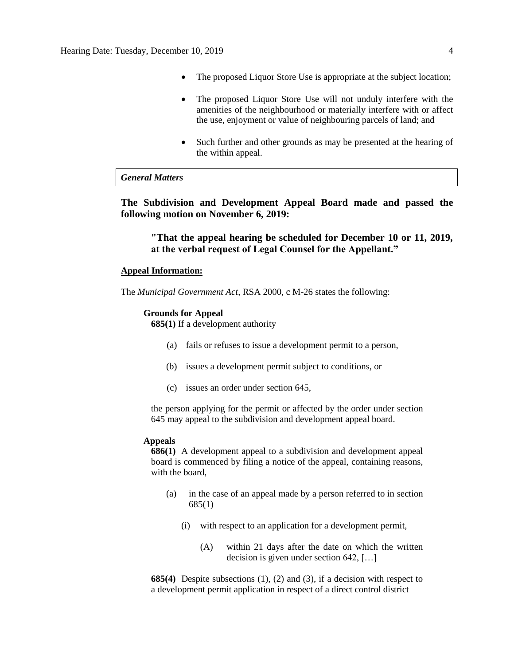- The proposed Liquor Store Use is appropriate at the subject location;
- The proposed Liquor Store Use will not unduly interfere with the amenities of the neighbourhood or materially interfere with or affect the use, enjoyment or value of neighbouring parcels of land; and
- Such further and other grounds as may be presented at the hearing of the within appeal.

#### *General Matters*

**The Subdivision and Development Appeal Board made and passed the following motion on November 6, 2019:** 

**"That the appeal hearing be scheduled for December 10 or 11, 2019, at the verbal request of Legal Counsel for the Appellant."**

#### **Appeal Information:**

The *Municipal Government Act*, RSA 2000, c M-26 states the following:

#### **Grounds for Appeal**

**685(1)** If a development authority

- (a) fails or refuses to issue a development permit to a person,
- (b) issues a development permit subject to conditions, or
- (c) issues an order under section 645,

the person applying for the permit or affected by the order under section 645 may appeal to the subdivision and development appeal board.

#### **Appeals**

**686(1)** A development appeal to a subdivision and development appeal board is commenced by filing a notice of the appeal, containing reasons, with the board,

- (a) in the case of an appeal made by a person referred to in section 685(1)
	- (i) with respect to an application for a development permit,
		- (A) within 21 days after the date on which the written decision is given under section 642, […]

**685(4)** Despite subsections (1), (2) and (3), if a decision with respect to a development permit application in respect of a direct control district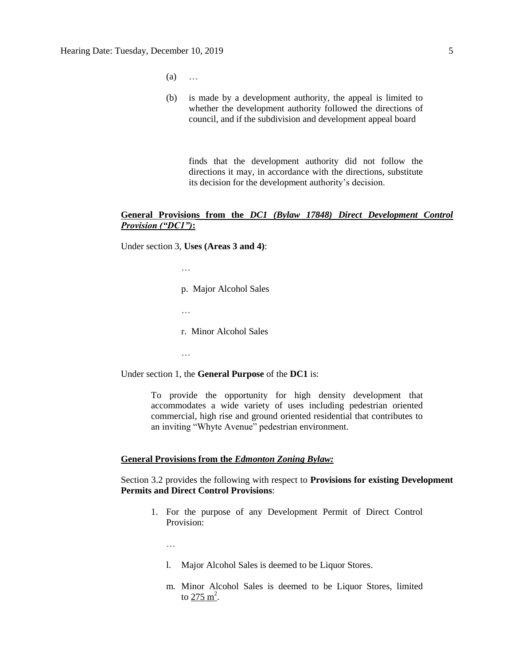- (a) …
- (b) is made by a development authority, the appeal is limited to whether the development authority followed the directions of council, and if the subdivision and development appeal board

finds that the development authority did not follow the directions it may, in accordance with the directions, substitute its decision for the development authority's decision.

### **General Provisions from the** *DC1 (Bylaw 17848) Direct Development Control Provision ("DC1")***:**

Under section 3, **Uses (Areas 3 and 4)**:

- …
- p. Major Alcohol Sales
- …
- r. Minor Alcohol Sales

…

Under section 1, the **General Purpose** of the **DC1** is:

To provide the opportunity for high density development that accommodates a wide variety of uses including pedestrian oriented commercial, high rise and ground oriented residential that contributes to an inviting "Whyte Avenue" pedestrian environment.

#### **General Provisions from the** *Edmonton Zoning Bylaw:*

### Section 3.2 provides the following with respect to **Provisions for existing Development Permits and Direct Control Provisions**:

1. For the purpose of any Development Permit of Direct Control Provision:

…

- l. Major Alcohol Sales is deemed to be Liquor Stores.
- m. Minor Alcohol Sales is deemed to be Liquor Stores, limited to  $\frac{275 \text{ m}^2}{.}$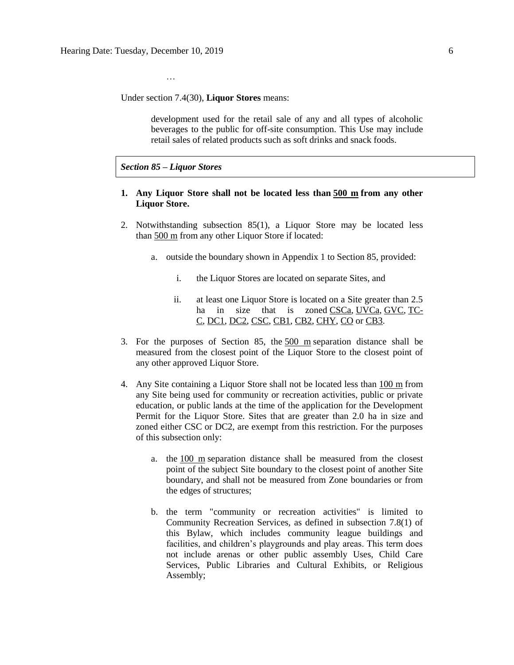Under section 7.4(30), **Liquor Stores** means:

development used for the retail sale of any and all types of alcoholic beverages to the public for off-site consumption. This Use may include retail sales of related products such as soft drinks and snack foods.

*Section 85 – Liquor Stores* 

…

### **1. Any Liquor Store shall not be located less than [500 m](https://webdocs.edmonton.ca/InfraPlan/zoningbylaw/ZoningBylaw/Measurements/im500.htm) from any other Liquor Store.**

- 2. Notwithstanding subsection 85(1), a Liquor Store may be located less than [500 m](https://webdocs.edmonton.ca/InfraPlan/zoningbylaw/ZoningBylaw/Measurements/im500.htm) from any other Liquor Store if located:
	- a. outside the boundary shown in Appendix 1 to Section 85, provided:
		- i. the Liquor Stores are located on separate Sites, and
		- ii. at least one Liquor Store is located on a Site greater than 2.5 ha in size that is zoned [CSCa,](https://webdocs.edmonton.ca/InfraPlan/zoningbylaw/ZoningBylaw/Part2/Special_Areas/960_5_(CSCa)_Ambleside_Shopping_Centre_Zone.htm) [UVCa,](https://webdocs.edmonton.ca/InfraPlan/zoningbylaw/ZoningBylaw/Part2/Special_Areas/960.6_(UVCa)_Ambleside_Urban_Village_Commercial_Zone.htm) [GVC,](https://webdocs.edmonton.ca/InfraPlan/zoningbylaw/ZoningBylaw/Part2/Special_Areas/940_6_(GVC)_Griesbach_Village_Centre_Zone.htm) [TC-](https://webdocs.edmonton.ca/InfraPlan/zoningbylaw/ZoningBylaw/Part2/Special_Areas/990_4_(TC-C)_Heritage_Valley_Town_Centre_Commercial_Zone.htm)[C,](https://webdocs.edmonton.ca/InfraPlan/zoningbylaw/ZoningBylaw/Part2/Special_Areas/990_4_(TC-C)_Heritage_Valley_Town_Centre_Commercial_Zone.htm) [DC1,](https://webdocs.edmonton.ca/InfraPlan/zoningbylaw/ZoningBylaw/Part2/Direct/710_(DC1)_Direct_Development_Control_Provision.htm) [DC2,](https://webdocs.edmonton.ca/InfraPlan/zoningbylaw/ZoningBylaw/Part2/Direct/720_(DC2)_Site_Specific_Development_Control_Provision.htm) [CSC,](https://webdocs.edmonton.ca/InfraPlan/zoningbylaw/ZoningBylaw/Part2/Commercial/320_(CSC)_Shopping_Centre_Zone.htm) [CB1,](https://webdocs.edmonton.ca/InfraPlan/zoningbylaw/ZoningBylaw/Part2/Commercial/330_(CB1)_Low_Intensity_Business_Zone.htm) [CB2,](https://webdocs.edmonton.ca/InfraPlan/zoningbylaw/ZoningBylaw/Part2/Commercial/340_(CB2)_General_Business_Zone.htm) [CHY,](https://webdocs.edmonton.ca/InfraPlan/zoningbylaw/ZoningBylaw/Part2/Commercial/350_(CHY)_Highway_Corridor_Zone.htm) [CO](https://webdocs.edmonton.ca/InfraPlan/zoningbylaw/ZoningBylaw/Part2/Commercial/360_(CO)_Commercial_Office_Zone.htm) or [CB3.](https://webdocs.edmonton.ca/InfraPlan/zoningbylaw/ZoningBylaw/Part2/Commercial/370_(CB3)_Commercial_Mixed_Business_Zone.htm)
- 3. For the purposes of Section 85, the  $500 \text{ m}$  separation distance shall be measured from the closest point of the Liquor Store to the closest point of any other approved Liquor Store.
- 4. Any Site containing a Liquor Store shall not be located less than  $100 \text{ m}$  from any Site being used for community or recreation activities, public or private education, or public lands at the time of the application for the Development Permit for the Liquor Store. Sites that are greater than 2.0 ha in size and zoned either CSC or DC2, are exempt from this restriction. For the purposes of this subsection only:
	- a. the [100 m](https://webdocs.edmonton.ca/InfraPlan/zoningbylaw/ZoningBylaw/Measurements/im100.htm) separation distance shall be measured from the closest point of the subject Site boundary to the closest point of another Site boundary, and shall not be measured from Zone boundaries or from the edges of structures;
	- b. the term "community or recreation activities" is limited to Community Recreation Services, as defined in subsection 7.8(1) of this Bylaw, which includes community league buildings and facilities, and children's playgrounds and play areas. This term does not include arenas or other public assembly Uses, Child Care Services, Public Libraries and Cultural Exhibits, or Religious Assembly;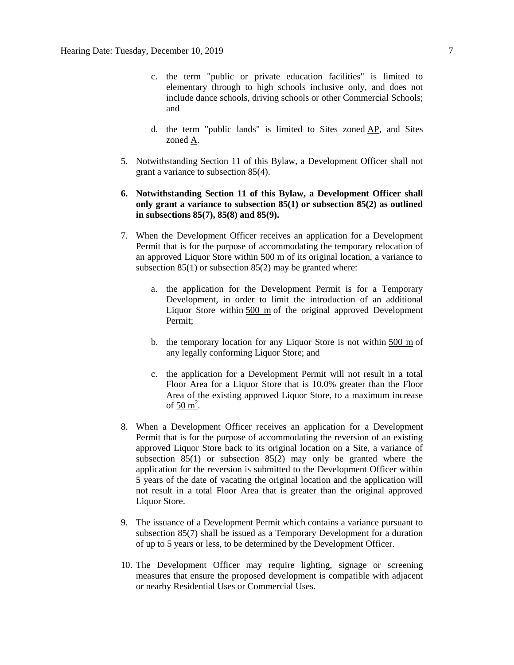- c. the term "public or private education facilities" is limited to elementary through to high schools inclusive only, and does not include dance schools, driving schools or other Commercial Schools; and
- d. the term "public lands" is limited to Sites zoned [AP,](https://webdocs.edmonton.ca/InfraPlan/zoningbylaw/ZoningBylaw/Part2/Urban/530_(AP)_Public_Parks_Zone.htm) and Sites zoned [A.](https://webdocs.edmonton.ca/InfraPlan/zoningbylaw/ZoningBylaw/Part2/Urban/540_(A)_Metropolitan_Recreation_Zone.htm)
- 5. Notwithstanding Section 11 of this Bylaw, a Development Officer shall not grant a variance to subsection 85(4).
- **6. Notwithstanding Section 11 of this Bylaw, a Development Officer shall only grant a variance to subsection 85(1) or subsection 85(2) as outlined in subsections 85(7), 85(8) and 85(9).**
- 7. When the Development Officer receives an application for a Development Permit that is for the purpose of accommodating the temporary relocation of an approved Liquor Store within 500 m of its original location, a variance to subsection  $85(1)$  or subsection  $85(2)$  may be granted where:
	- a. the application for the Development Permit is for a Temporary Development, in order to limit the introduction of an additional Liquor Store within [500 m](https://webdocs.edmonton.ca/InfraPlan/zoningbylaw/ZoningBylaw/Measurements/im500.htm) of the original approved Development Permit;
	- b. the temporary location for any Liquor Store is not within  $500 \text{ m}$  of any legally conforming Liquor Store; and
	- c. the application for a Development Permit will not result in a total Floor Area for a Liquor Store that is 10.0% greater than the Floor Area of the existing approved Liquor Store, to a maximum increase of  $50 \text{ m}^2$ .
- 8. When a Development Officer receives an application for a Development Permit that is for the purpose of accommodating the reversion of an existing approved Liquor Store back to its original location on a Site, a variance of subsection 85(1) or subsection 85(2) may only be granted where the application for the reversion is submitted to the Development Officer within 5 years of the date of vacating the original location and the application will not result in a total Floor Area that is greater than the original approved Liquor Store.
- 9. The issuance of a Development Permit which contains a variance pursuant to subsection 85(7) shall be issued as a Temporary Development for a duration of up to 5 years or less, to be determined by the Development Officer.
- 10. The Development Officer may require lighting, signage or screening measures that ensure the proposed development is compatible with adjacent or nearby Residential Uses or Commercial Uses.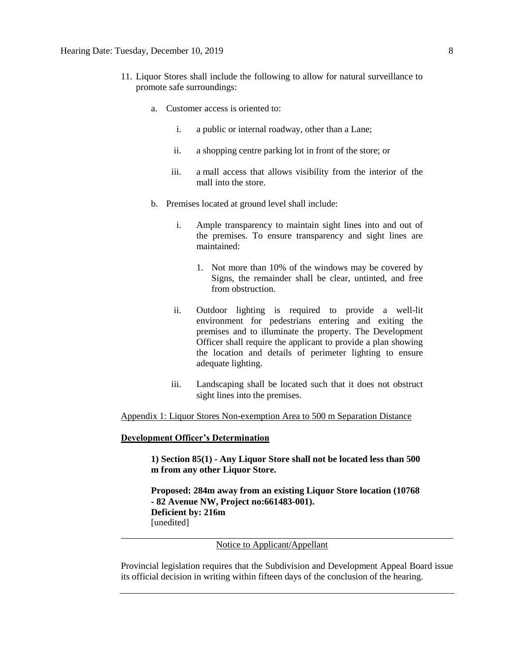- 11. Liquor Stores shall include the following to allow for natural surveillance to promote safe surroundings:
	- a. Customer access is oriented to:
		- i. a public or internal roadway, other than a Lane;
		- ii. a shopping centre parking lot in front of the store; or
		- iii. a mall access that allows visibility from the interior of the mall into the store.
	- b. Premises located at ground level shall include:
		- i. Ample transparency to maintain sight lines into and out of the premises. To ensure transparency and sight lines are maintained:
			- 1. Not more than 10% of the windows may be covered by Signs, the remainder shall be clear, untinted, and free from obstruction.
		- ii. Outdoor lighting is required to provide a well-lit environment for pedestrians entering and exiting the premises and to illuminate the property. The Development Officer shall require the applicant to provide a plan showing the location and details of perimeter lighting to ensure adequate lighting.
		- iii. Landscaping shall be located such that it does not obstruct sight lines into the premises.

#### [Appendix 1: Liquor Stores Non-exemption Area to 500 m Separation Distance](https://webdocs.edmonton.ca/InfraPlan/zoningbylaw/ZoningBylaw/Part1/Special_Land/85._Appendix_1__Major_Alcohol_Sales_and_Minor_Alcohol_Sales_Non-exemption_Area_to_500_m_Separation_Distance.htm)

#### **Development Officer's Determination**

**1) Section 85(1) - Any Liquor Store shall not be located less than 500 m from any other Liquor Store.**

**Proposed: 284m away from an existing Liquor Store location (10768 - 82 Avenue NW, Project no:661483-001). Deficient by: 216m** [unedited]

### Notice to Applicant/Appellant

Provincial legislation requires that the Subdivision and Development Appeal Board issue its official decision in writing within fifteen days of the conclusion of the hearing.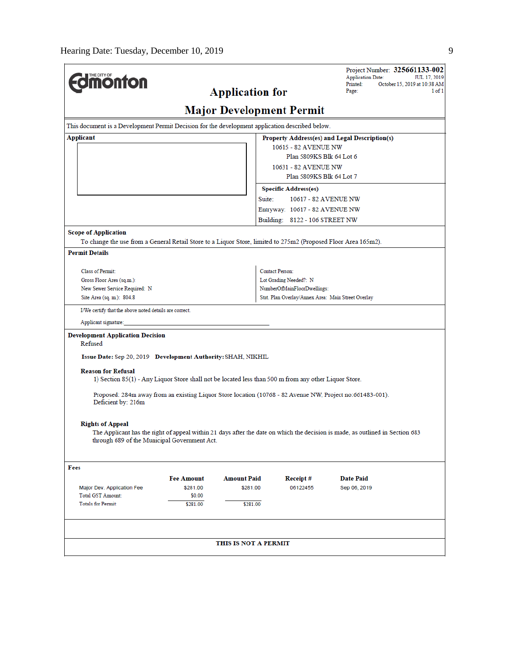|                                                                                                                                    |                                                             |                                                                       | Project Number: 325661133-002<br><b>Application Date:</b><br>JUL 17, 2019 |  |  |  |  |  |
|------------------------------------------------------------------------------------------------------------------------------------|-------------------------------------------------------------|-----------------------------------------------------------------------|---------------------------------------------------------------------------|--|--|--|--|--|
| <b>Imonton</b>                                                                                                                     | Printed:<br>October 15, 2019 at 10:38 AM<br>Page:<br>1 of 1 |                                                                       |                                                                           |  |  |  |  |  |
| <b>Application for</b>                                                                                                             |                                                             |                                                                       |                                                                           |  |  |  |  |  |
| <b>Major Development Permit</b>                                                                                                    |                                                             |                                                                       |                                                                           |  |  |  |  |  |
| This document is a Development Permit Decision for the development application described below.                                    |                                                             |                                                                       |                                                                           |  |  |  |  |  |
| Applicant                                                                                                                          |                                                             | Property Address(es) and Legal Description(s)<br>10615 - 82 AVENUE NW |                                                                           |  |  |  |  |  |
|                                                                                                                                    |                                                             |                                                                       |                                                                           |  |  |  |  |  |
|                                                                                                                                    |                                                             | Plan 5809KS Blk 64 Lot 6<br>10631 - 82 AVENUE NW                      |                                                                           |  |  |  |  |  |
|                                                                                                                                    |                                                             | Plan 5809KS Blk 64 Lot 7                                              |                                                                           |  |  |  |  |  |
|                                                                                                                                    |                                                             | <b>Specific Address(es)</b>                                           |                                                                           |  |  |  |  |  |
|                                                                                                                                    | Suite:                                                      | 10617 - 82 AVENUE NW                                                  |                                                                           |  |  |  |  |  |
|                                                                                                                                    |                                                             | Entryway: 10617 - 82 AVENUE NW                                        |                                                                           |  |  |  |  |  |
|                                                                                                                                    |                                                             | Building: 8122 - 106 STREET NW                                        |                                                                           |  |  |  |  |  |
| <b>Scope of Application</b>                                                                                                        |                                                             |                                                                       |                                                                           |  |  |  |  |  |
| To change the use from a General Retail Store to a Liquor Store, limited to 275m2 (Proposed Floor Area 165m2).                     |                                                             |                                                                       |                                                                           |  |  |  |  |  |
| <b>Permit Details</b>                                                                                                              |                                                             |                                                                       |                                                                           |  |  |  |  |  |
| <b>Class of Permit:</b>                                                                                                            | <b>Contact Person:</b>                                      |                                                                       |                                                                           |  |  |  |  |  |
| Gross Floor Area (sq.m.):                                                                                                          |                                                             | Lot Grading Needed?: N                                                |                                                                           |  |  |  |  |  |
| New Sewer Service Required: N                                                                                                      |                                                             | NumberOfMainFloorDwellings:                                           |                                                                           |  |  |  |  |  |
| Site Area (sq. m.): 804.8                                                                                                          |                                                             | Stat. Plan Overlay/Annex Area: Main Street Overlay                    |                                                                           |  |  |  |  |  |
| I/We certify that the above noted details are correct.                                                                             |                                                             |                                                                       |                                                                           |  |  |  |  |  |
| Applicant signature:                                                                                                               |                                                             |                                                                       |                                                                           |  |  |  |  |  |
| <b>Development Application Decision</b><br>Refused                                                                                 |                                                             |                                                                       |                                                                           |  |  |  |  |  |
| Issue Date: Sep 20, 2019 Development Authority: SHAH, NIKHIL                                                                       |                                                             |                                                                       |                                                                           |  |  |  |  |  |
|                                                                                                                                    |                                                             |                                                                       |                                                                           |  |  |  |  |  |
| <b>Reason for Refusal</b><br>1) Section 85(1) - Any Liquor Store shall not be located less than 500 m from any other Liquor Store. |                                                             |                                                                       |                                                                           |  |  |  |  |  |
| Proposed: 284m away from an existing Liquor Store location (10768 - 82 Avenue NW, Project no:661483-001).<br>Deficient by: 216m    |                                                             |                                                                       |                                                                           |  |  |  |  |  |
|                                                                                                                                    |                                                             |                                                                       |                                                                           |  |  |  |  |  |
| <b>Rights of Appeal</b>                                                                                                            |                                                             |                                                                       |                                                                           |  |  |  |  |  |
| The Applicant has the right of appeal within 21 days after the date on which the decision is made, as outlined in Section 683      |                                                             |                                                                       |                                                                           |  |  |  |  |  |
| through 689 of the Municipal Government Act.                                                                                       |                                                             |                                                                       |                                                                           |  |  |  |  |  |
|                                                                                                                                    |                                                             |                                                                       |                                                                           |  |  |  |  |  |
| Fees                                                                                                                               |                                                             |                                                                       |                                                                           |  |  |  |  |  |
| <b>Fee Amount</b><br><b>Amount Paid</b>                                                                                            |                                                             | Receipt#                                                              | <b>Date Paid</b>                                                          |  |  |  |  |  |
| \$281.00<br>Major Dev. Application Fee<br><b>Total GST Amount:</b><br>\$0.00                                                       | \$281.00                                                    | 06122455                                                              | Sep 06, 2019                                                              |  |  |  |  |  |
| <b>Totals for Permit:</b><br>\$281.00                                                                                              | \$281.00                                                    |                                                                       |                                                                           |  |  |  |  |  |
|                                                                                                                                    |                                                             |                                                                       |                                                                           |  |  |  |  |  |
|                                                                                                                                    |                                                             |                                                                       |                                                                           |  |  |  |  |  |
|                                                                                                                                    | THIS IS NOT A PERMIT                                        |                                                                       |                                                                           |  |  |  |  |  |
|                                                                                                                                    |                                                             |                                                                       |                                                                           |  |  |  |  |  |